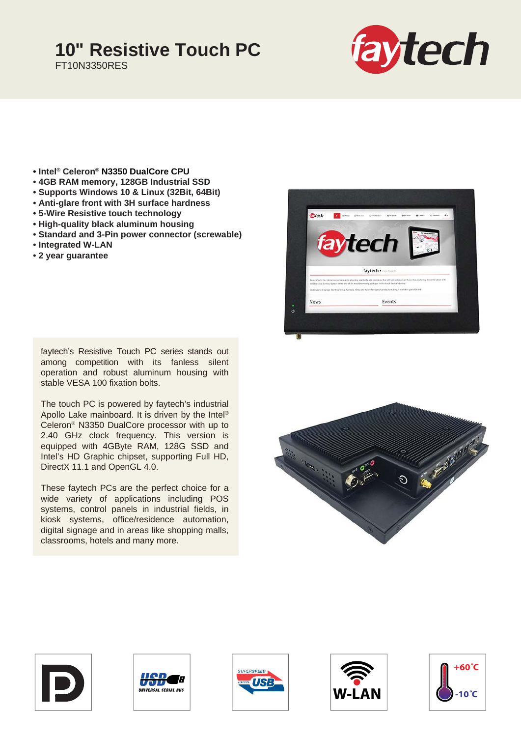## **10" Resistive Touch PC**

FT10N3350RES



- **Intel® Celeron® N3350 DualCore CPU**
- **4GB RAM memory, 128GB Industrial SSD**
- **Supports Windows 10 & Linux (32Bit, 64Bit)**
- **Anti-glare front with 3H surface hardness**
- **5-Wire Resistive touch technology**
- **High-quality black aluminum housing**
- **Standard and 3-Pin power connector (screwable)**
- **Integrated W-LAN**
- **2 year guarantee**

faytech's Resistive Touch PC series stands out among competition with its fanless silent operation and robust aluminum housing with stable VESA 100 fixation bolts.

The touch PC is powered by faytech's industrial Apollo Lake mainboard. It is driven by the Intel® Celeron® N3350 DualCore processor with up to 2.40 GHz clock frequency. This version is equipped with 4GByte RAM, 128G SSD and Intel's HD Graphic chipset, supporting Full HD, DirectX 11.1 and OpenGL 4.0.

These faytech PCs are the perfect choice for a wide variety of applications including POS systems, control panels in industrial fields, in kiosk systems, office/residence automation, digital signage and in areas like shopping malls, classrooms, hotels and many more.